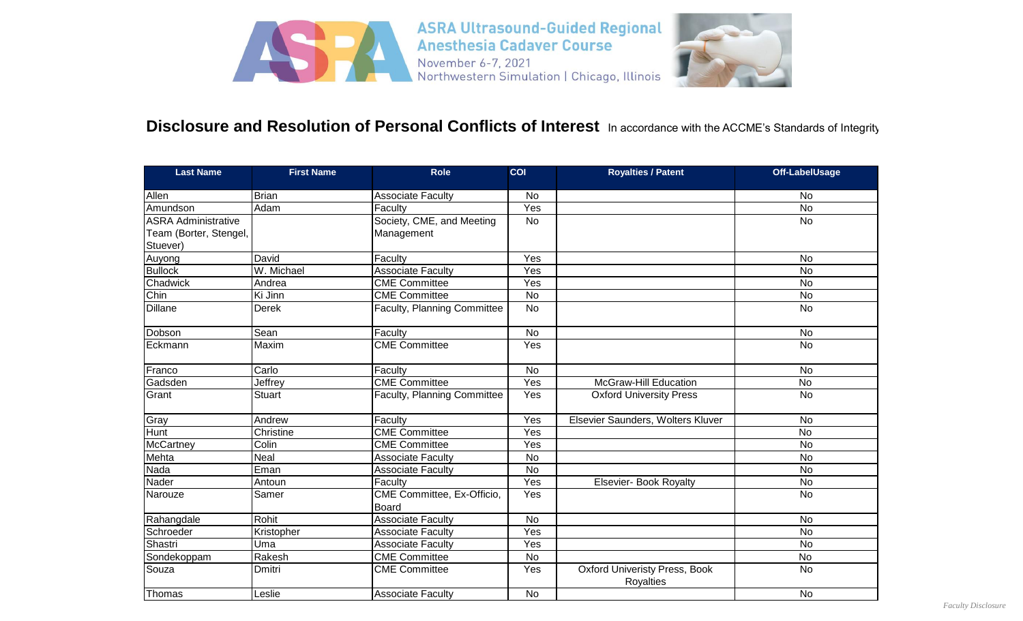

## Disclosure and Resolution of Personal Conflicts of Interest In accordance with the ACCME's Standards of Integrity

| <b>Last Name</b>           | <b>First Name</b> | <b>Role</b>                                | COI            | <b>Royalties / Patent</b>                                | <b>Off-LabelUsage</b> |
|----------------------------|-------------------|--------------------------------------------|----------------|----------------------------------------------------------|-----------------------|
| Allen                      | <b>Brian</b>      | <b>Associate Faculty</b>                   | No             |                                                          | No                    |
| Amundson                   | Adam              | Faculty                                    | Yes            |                                                          | <b>No</b>             |
| <b>ASRA Administrative</b> |                   | Society, CME, and Meeting                  | <b>No</b>      |                                                          | <b>No</b>             |
| Team (Borter, Stengel,     |                   | Management                                 |                |                                                          |                       |
| Stuever)                   |                   |                                            |                |                                                          |                       |
| Auyong                     | David             | Faculty                                    | Yes            |                                                          | No                    |
| <b>Bullock</b>             | W. Michael        | <b>Associate Faculty</b>                   | Yes            |                                                          | <b>No</b>             |
| Chadwick                   | Andrea            | <b>CME Committee</b>                       | Yes            |                                                          | <b>No</b>             |
| Chin                       | Ki Jinn           | <b>CME</b> Committee                       | $\overline{N}$ |                                                          | $\overline{N}$        |
| <b>Dillane</b>             | <b>Derek</b>      | <b>Faculty, Planning Committee</b>         | $\overline{N}$ |                                                          | <b>No</b>             |
| Dobson                     | Sean              | Faculty                                    | <b>No</b>      |                                                          | <b>No</b>             |
| Eckmann                    | Maxim             | <b>CME Committee</b>                       | Yes            |                                                          | <b>No</b>             |
| Franco                     | Carlo             | Faculty                                    | <b>No</b>      |                                                          | No                    |
| Gadsden                    | Jeffrey           | <b>CME Committee</b>                       | Yes            | <b>McGraw-Hill Education</b>                             | <b>No</b>             |
| Grant                      | <b>Stuart</b>     | <b>Faculty, Planning Committee</b>         | Yes            | <b>Oxford University Press</b>                           | <b>No</b>             |
| Gray                       | Andrew            | Faculty                                    | Yes            | Elsevier Saunders, Wolters Kluver                        | <b>No</b>             |
| Hunt                       | Christine         | <b>CME Committee</b>                       | Yes            |                                                          | $\overline{N}$        |
| McCartney                  | Colin             | <b>CME Committee</b>                       | Yes            |                                                          | <b>No</b>             |
| Mehta                      | <b>Neal</b>       | <b>Associate Faculty</b>                   | No             |                                                          | <b>No</b>             |
| Nada                       | Eman              | Associate Faculty                          | $\overline{N}$ |                                                          | <b>No</b>             |
| Nader                      | Antoun            | Faculty                                    | Yes            | <b>Elsevier- Book Royalty</b>                            | No                    |
| Narouze                    | Samer             | CME Committee, Ex-Officio,<br><b>Board</b> | Yes            |                                                          | <b>No</b>             |
| Rahangdale                 | Rohit             | <b>Associate Faculty</b>                   | No             |                                                          | <b>No</b>             |
| Schroeder                  | Kristopher        | <b>Associate Faculty</b>                   | Yes            |                                                          | <b>No</b>             |
| Shastri                    | Uma               | <b>Associate Faculty</b>                   | Yes            |                                                          | No                    |
| Sondekoppam                | Rakesh            | <b>CME Committee</b>                       | <b>No</b>      |                                                          | <b>No</b>             |
| Souza                      | Dmitri            | <b>CME Committee</b>                       | Yes            | <b>Oxford Univeristy Press, Book</b><br><b>Royalties</b> | No                    |
| Thomas                     | Leslie            | <b>Associate Faculty</b>                   | <b>No</b>      |                                                          | <b>No</b>             |